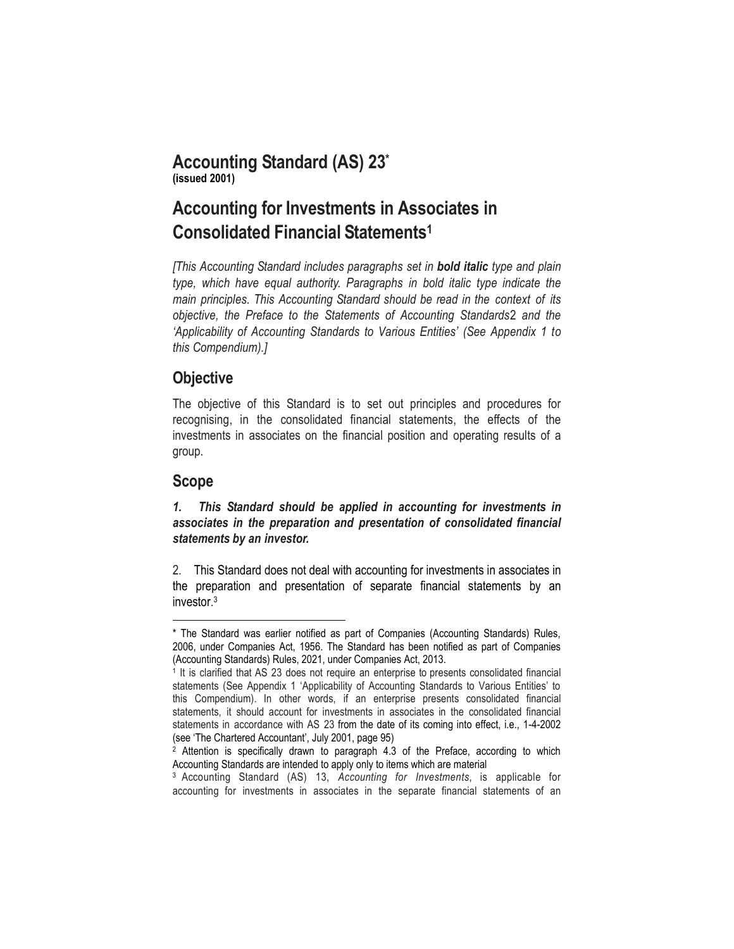### **Accounting Standard (AS) 23\* (issued 2001)**

# **Accounting for Investments in Associates in Consolidated Financial Statements 1**

*[This Accounting Standard includes paragraphs set in bold italic type and plain type, which have equal authority. Paragraphs in bold italic type indicate the main principles. This Accounting Standard should be read in the context of its objective, the Preface to the Statements of Accounting Standards*2 *and the 'Applicability of Accounting Standards to Various Entities' (See Appendix 1 to this Compendium).]*

### **Objective**

The objective of this Standard is to set out principles and procedures for recognising, in the consolidated financial statements, the effects of the investments in associates on the financial position and operating results of a group.

### **Scope**

 $\overline{a}$ 

*1. This Standard should be applied in accounting for investments in associates in the preparation and presentation of consolidated financial statements by an investor.*

2. This Standard does not deal with accounting for investments in associates in the preparation and presentation of separate financial statements by an investor. 3

<sup>\*</sup> The Standard was earlier notified as part of Companies (Accounting Standards) Rules, 2006, under Companies Act, 1956. The Standard has been notified as part of Companies (Accounting Standards) Rules, 2021, under Companies Act, 2013.

<sup>&</sup>lt;sup>1</sup> It is clarified that AS 23 does not require an enterprise to presents consolidated financial statements (See Appendix 1 'Applicability of Accounting Standards to Various Entities' to this Compendium). In other words, if an enterprise presents consolidated financial statements, it should account for investments in associates in the consolidated financial statements in accordance with AS 23 from the date of its coming into effect, i.e., 1-4-2002 (see 'The Chartered Accountant', July 2001, page 95)

<sup>&</sup>lt;sup>2</sup> Attention is specifically drawn to paragraph 4.3 of the Preface, according to which Accounting Standards are intended to apply only to items which are material

<sup>3</sup> Accounting Standard (AS) 13, *Accounting for Investments*, is applicable for accounting for investments in associates in the separate financial statements of an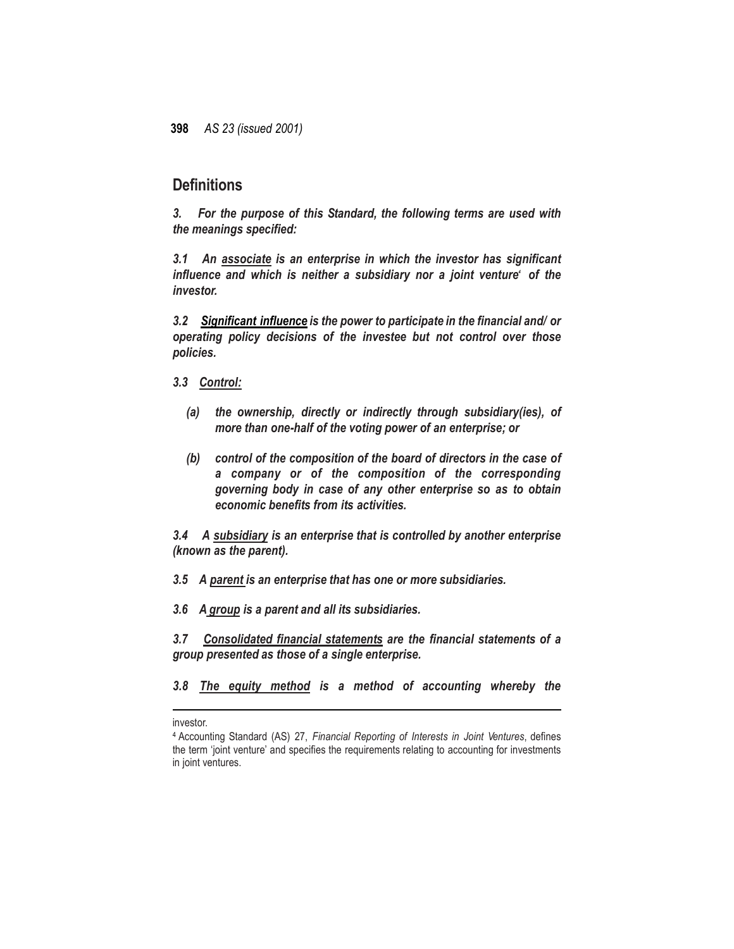### **Definitions**

*3. For the purpose of this Standard, the following terms are used with the meanings specified:*

*3.1 An associate is an enterprise in which the investor has significant influence and which is neither a subsidiary nor a joint venture 4 of the investor.*

*3.2 Significant influence is the power to participate in the financial and/ or operating policy decisions of the investee but not control over those policies.*

*3.3 Control:*

- *(a) the ownership, directly or indirectly through subsidiary(ies), of more than one-half of the voting power of an enterprise; or*
- *(b) control of the composition of the board of directors in the case of a company or of the composition of the corresponding governing body in case of any other enterprise so as to obtain economic benefits from its activities.*

*3.4 A subsidiary is an enterprise that is controlled by another enterprise (known as the parent).*

*3.5 A parent is an enterprise that has one or more subsidiaries.*

*3.6 A group is a parent and all its subsidiaries.*

*3.7 Consolidated financial statements are the financial statements of a group presented as those of a single enterprise.*

*3.8 The equity method is a method of accounting whereby the* 

investor.

 $\overline{\phantom{a}}$ 

<sup>4</sup> Accounting Standard (AS) 27, *Financial Reporting of Interests in Joint Ventures*, defines the term 'joint venture' and specifies the requirements relating to accounting for investments in joint ventures.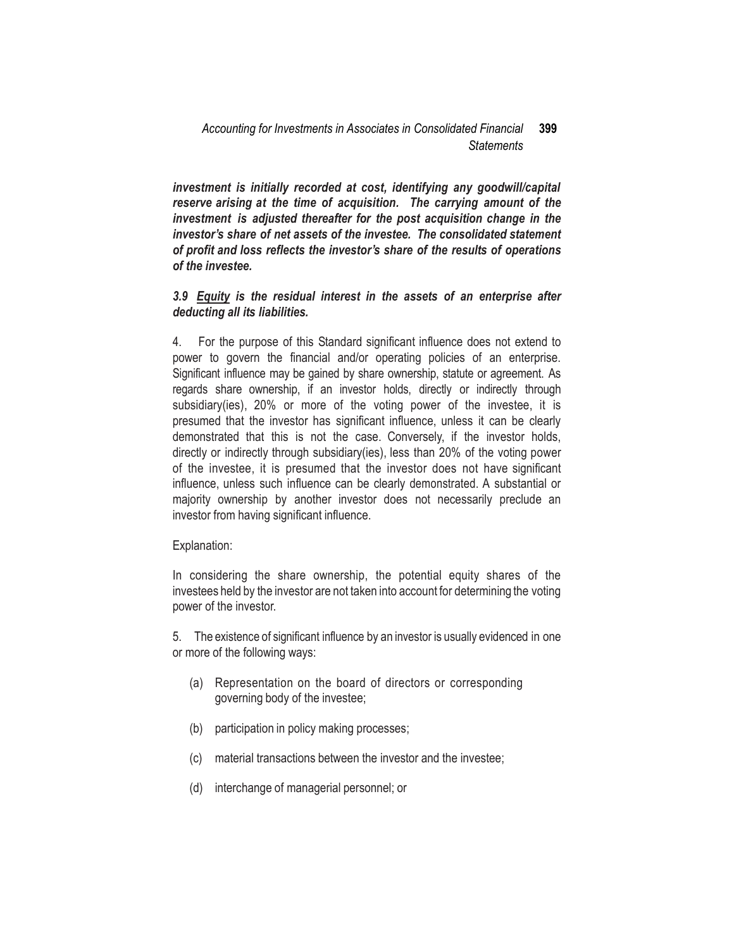*investment is initially recorded at cost, identifying any goodwill/capital reserve arising at the time of acquisition. The carrying amount of the investment is adjusted thereafter for the post acquisition change in the investor's share of net assets of the investee. The consolidated statement of profit and loss reflects the investor's share of the results of operations of the investee.*

### *3.9 Equity is the residual interest in the assets of an enterprise after deducting all its liabilities.*

4. For the purpose of this Standard significant influence does not extend to power to govern the financial and/or operating policies of an enterprise. Significant influence may be gained by share ownership, statute or agreement. As regards share ownership, if an investor holds, directly or indirectly through subsidiary(ies), 20% or more of the voting power of the investee, it is presumed that the investor has significant influence, unless it can be clearly demonstrated that this is not the case. Conversely, if the investor holds, directly or indirectly through subsidiary(ies), less than 20% of the voting power of the investee, it is presumed that the investor does not have significant influence, unless such influence can be clearly demonstrated. A substantial or majority ownership by another investor does not necessarily preclude an investor from having significant influence.

#### Explanation:

In considering the share ownership, the potential equity shares of the investees held by the investor are not taken into account for determining the voting power of the investor.

5. The existence of significant influence by an investor is usually evidenced in one or more of the following ways:

- (a) Representation on the board of directors or corresponding governing body of the investee;
- (b) participation in policy making processes;
- (c) material transactions between the investor and the investee;
- (d) interchange of managerial personnel; or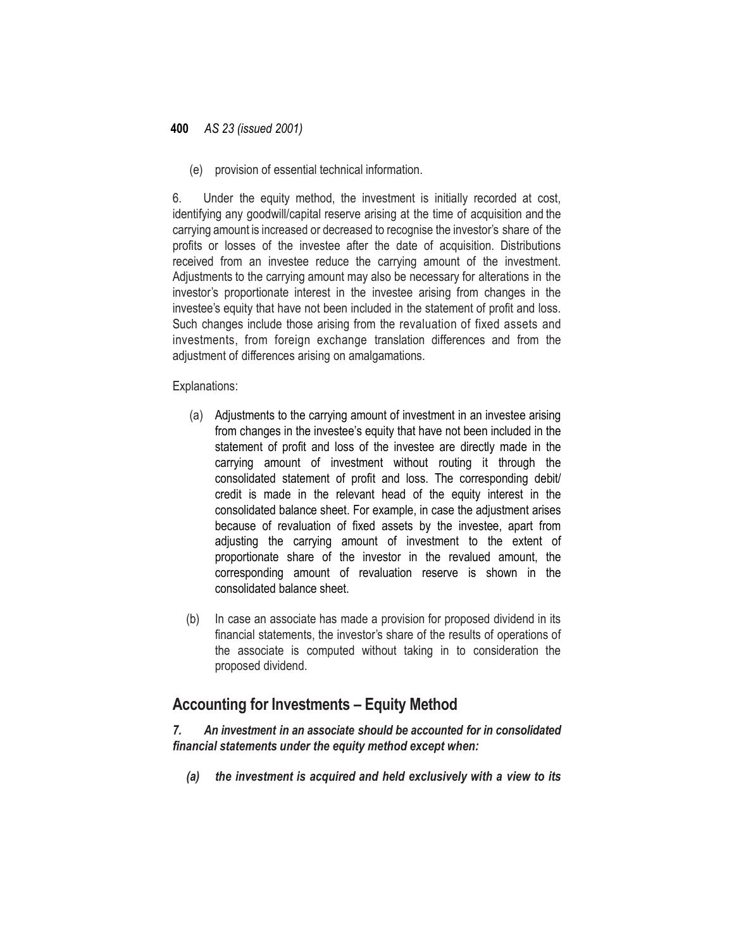(e) provision of essential technical information.

6. Under the equity method, the investment is initially recorded at cost, identifying any goodwill/capital reserve arising at the time of acquisition and the carrying amount is increased or decreased to recognise the investor's share of the profits or losses of the investee after the date of acquisition. Distributions received from an investee reduce the carrying amount of the investment. Adjustments to the carrying amount may also be necessary for alterations in the investor's proportionate interest in the investee arising from changes in the investee's equity that have not been included in the statement of profit and loss. Such changes include those arising from the revaluation of fixed assets and investments, from foreign exchange translation differences and from the adjustment of differences arising on amalgamations.

Explanations:

- (a) Adjustments to the carrying amount of investment in an investee arising from changes in the investee's equity that have not been included in the statement of profit and loss of the investee are directly made in the carrying amount of investment without routing it through the consolidated statement of profit and loss. The corresponding debit/ credit is made in the relevant head of the equity interest in the consolidated balance sheet. For example, in case the adjustment arises because of revaluation of fixed assets by the investee, apart from adjusting the carrying amount of investment to the extent of proportionate share of the investor in the revalued amount, the corresponding amount of revaluation reserve is shown in the consolidated balance sheet.
- (b) In case an associate has made a provision for proposed dividend in its financial statements, the investor's share of the results of operations of the associate is computed without taking in to consideration the proposed dividend.

### **Accounting for Investments – Equity Method**

*7. An investment in an associate should be accounted for in consolidated financial statements under the equity method except when:*

*(a) the investment is acquired and held exclusively with a view to its*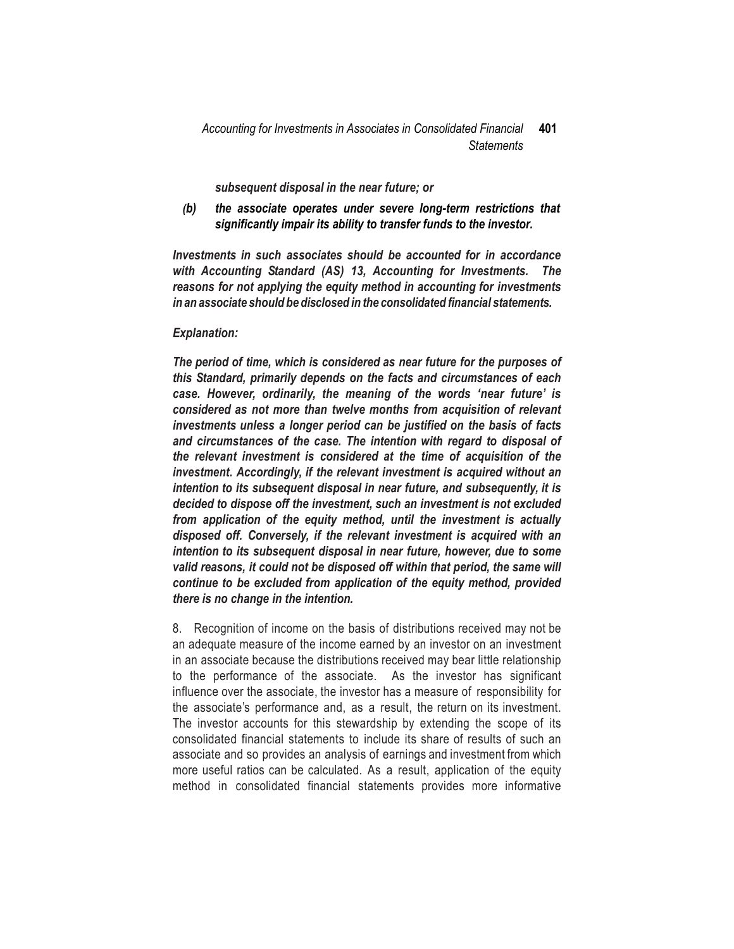*subsequent disposal in the near future; or*

*(b) the associate operates under severe long-term restrictions that significantly impair its ability to transfer funds to the investor.*

*Investments in such associates should be accounted for in accordance with Accounting Standard (AS) 13, Accounting for Investments. The reasons for not applying the equity method in accounting for investments in an associate should be disclosed in the consolidated financial statements.*

#### *Explanation:*

*The period of time, which is considered as near future for the purposes of this Standard, primarily depends on the facts and circumstances of each case. However, ordinarily, the meaning of the words 'near future' is considered as not more than twelve months from acquisition of relevant investments unless a longer period can be justified on the basis of facts and circumstances of the case. The intention with regard to disposal of the relevant investment is considered at the time of acquisition of the investment. Accordingly, if the relevant investment is acquired without an intention to its subsequent disposal in near future, and subsequently, it is decided to dispose off the investment, such an investment is not excluded from application of the equity method, until the investment is actually disposed off. Conversely, if the relevant investment is acquired with an intention to its subsequent disposal in near future, however, due to some valid reasons, it could not be disposed off within that period, the same will continue to be excluded from application of the equity method, provided there is no change in the intention.*

8. Recognition of income on the basis of distributions received may not be an adequate measure of the income earned by an investor on an investment in an associate because the distributions received may bear little relationship to the performance of the associate. As the investor has significant influence over the associate, the investor has a measure of responsibility for the associate's performance and, as a result, the return on its investment. The investor accounts for this stewardship by extending the scope of its consolidated financial statements to include its share of results of such an associate and so provides an analysis of earnings and investment from which more useful ratios can be calculated. As a result, application of the equity method in consolidated financial statements provides more informative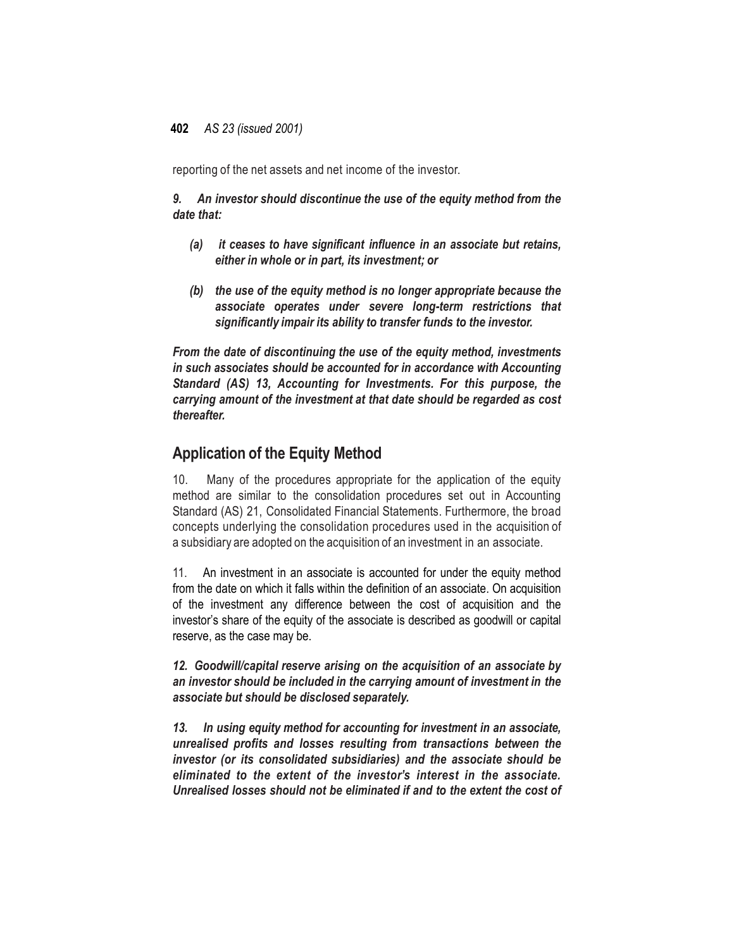reporting of the net assets and net income of the investor.

*9. An investor should discontinue the use of the equity method from the date that:*

- *(a) it ceases to have significant influence in an associate but retains, either in whole or in part, its investment; or*
- *(b) the use of the equity method is no longer appropriate because the associate operates under severe long-term restrictions that significantly impair its ability to transfer funds to the investor.*

*From the date of discontinuing the use of the equity method, investments in such associates should be accounted for in accordance with Accounting Standard (AS) 13, Accounting for Investments. For this purpose, the carrying amount of the investment at that date should be regarded as cost thereafter.*

## **Application of the Equity Method**

10. Many of the procedures appropriate for the application of the equity method are similar to the consolidation procedures set out in Accounting Standard (AS) 21, Consolidated Financial Statements. Furthermore, the broad concepts underlying the consolidation procedures used in the acquisition of a subsidiary are adopted on the acquisition of an investment in an associate.

11. An investment in an associate is accounted for under the equity method from the date on which it falls within the definition of an associate. On acquisition of the investment any difference between the cost of acquisition and the investor's share of the equity of the associate is described as goodwill or capital reserve, as the case may be.

*12. Goodwill/capital reserve arising on the acquisition of an associate by an investor should be included in the carrying amount of investment in the associate but should be disclosed separately.*

*13. In using equity method for accounting for investment in an associate, unrealised profits and losses resulting from transactions between the investor (or its consolidated subsidiaries) and the associate should be eliminated to the extent of the investor's interest in the associate. Unrealised losses should not be eliminated if and to the extent the cost of*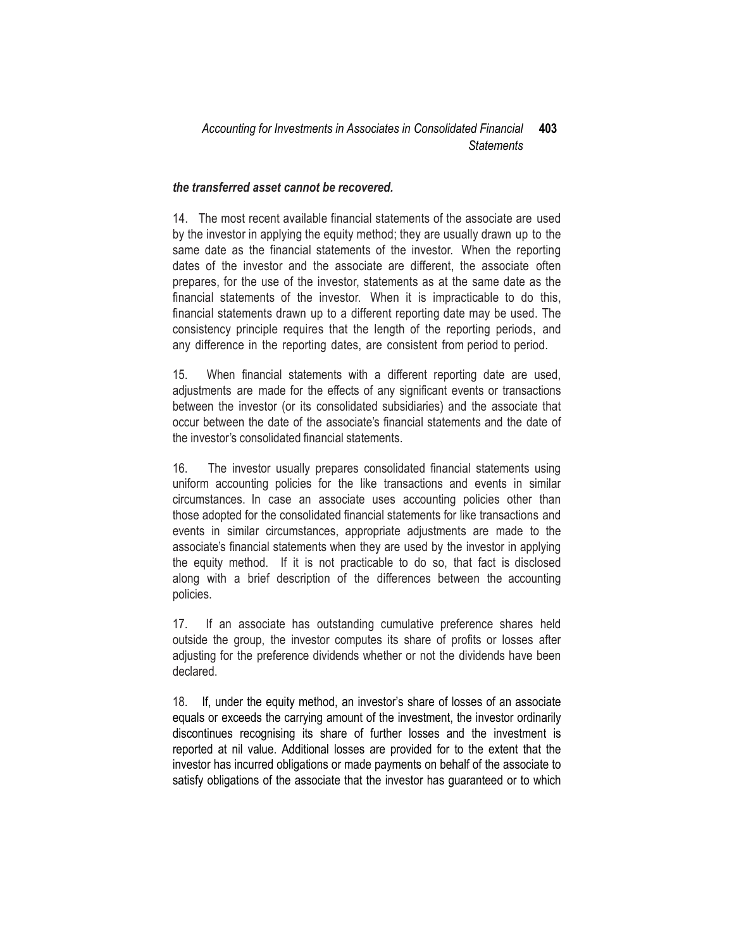#### *the transferred asset cannot be recovered.*

14. The most recent available financial statements of the associate are used by the investor in applying the equity method; they are usually drawn up to the same date as the financial statements of the investor. When the reporting dates of the investor and the associate are different, the associate often prepares, for the use of the investor, statements as at the same date as the financial statements of the investor. When it is impracticable to do this, financial statements drawn up to a different reporting date may be used. The consistency principle requires that the length of the reporting periods, and any difference in the reporting dates, are consistent from period to period.

15. When financial statements with a different reporting date are used, adjustments are made for the effects of any significant events or transactions between the investor (or its consolidated subsidiaries) and the associate that occur between the date of the associate's financial statements and the date of the investor's consolidated financial statements.

16. The investor usually prepares consolidated financial statements using uniform accounting policies for the like transactions and events in similar circumstances. In case an associate uses accounting policies other than those adopted for the consolidated financial statements for like transactions and events in similar circumstances, appropriate adjustments are made to the associate's financial statements when they are used by the investor in applying the equity method. If it is not practicable to do so, that fact is disclosed along with a brief description of the differences between the accounting policies.

17. If an associate has outstanding cumulative preference shares held outside the group, the investor computes its share of profits or losses after adjusting for the preference dividends whether or not the dividends have been declared.

18. If, under the equity method, an investor's share of losses of an associate equals or exceeds the carrying amount of the investment, the investor ordinarily discontinues recognising its share of further losses and the investment is reported at nil value. Additional losses are provided for to the extent that the investor has incurred obligations or made payments on behalf of the associate to satisfy obligations of the associate that the investor has guaranteed or to which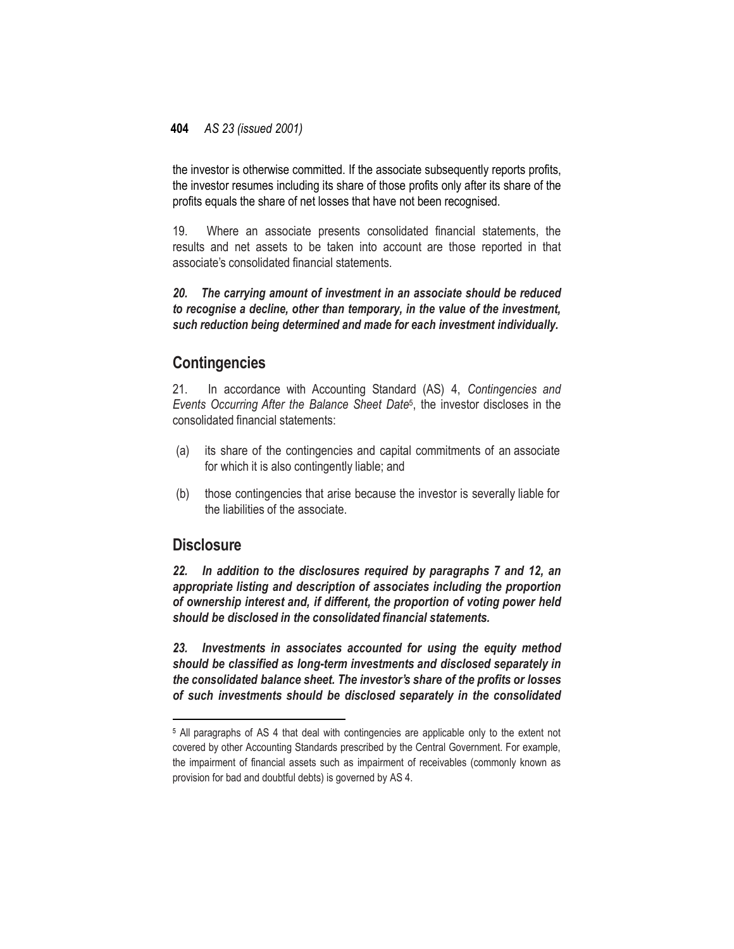the investor is otherwise committed. If the associate subsequently reports profits, the investor resumes including its share of those profits only after its share of the profits equals the share of net losses that have not been recognised.

19. Where an associate presents consolidated financial statements, the results and net assets to be taken into account are those reported in that associate's consolidated financial statements.

*20. The carrying amount of investment in an associate should be reduced to recognise a decline, other than temporary, in the value of the investment, such reduction being determined and made for each investment individually.*

## **Contingencies**

21. In accordance with Accounting Standard (AS) 4, *Contingencies and Events Occurring After the Balance Sheet Date*<sup>5</sup> , the investor discloses in the consolidated financial statements:

- (a) its share of the contingencies and capital commitments of an associate for which it is also contingently liable; and
- (b) those contingencies that arise because the investor is severally liable for the liabilities of the associate.

### **Disclosure**

 $\overline{\phantom{a}}$ 

*22. In addition to the disclosures required by paragraphs 7 and 12, an appropriate listing and description of associates including the proportion of ownership interest and, if different, the proportion of voting power held should be disclosed in the consolidated financial statements.*

*23. Investments in associates accounted for using the equity method should be classified as long-term investments and disclosed separately in the consolidated balance sheet. The investor's share of the profits or losses of such investments should be disclosed separately in the consolidated*

<sup>5</sup> All paragraphs of AS 4 that deal with contingencies are applicable only to the extent not covered by other Accounting Standards prescribed by the Central Government. For example, the impairment of financial assets such as impairment of receivables (commonly known as provision for bad and doubtful debts) is governed by AS 4.